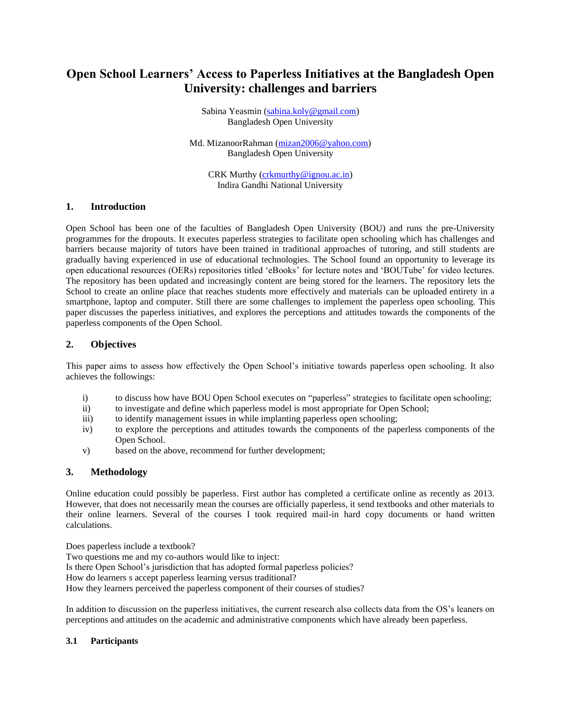# **Open School Learners' Access to Paperless Initiatives at the Bangladesh Open University: challenges and barriers**

Sabina Yeasmin [\(sabina.koly@gmail.com\)](mailto:sabina.koly@gmail.com) Bangladesh Open University

Md. MizanoorRahman [\(mizan2006@yahoo.com\)](mailto:mizan2006@yahoo.com) Bangladesh Open University

CRK Murthy [\(crkmurthy@ignou.ac.in\)](mailto:crkmurthy@ignou.ac.in) Indira Gandhi National University

# **1. Introduction**

Open School has been one of the faculties of Bangladesh Open University (BOU) and runs the pre-University programmes for the dropouts. It executes paperless strategies to facilitate open schooling which has challenges and barriers because majority of tutors have been trained in traditional approaches of tutoring, and still students are gradually having experienced in use of educational technologies. The School found an opportunity to leverage its open educational resources (OERs) repositories titled 'eBooks' for lecture notes and 'BOUTube' for video lectures. The repository has been updated and increasingly content are being stored for the learners. The repository lets the School to create an online place that reaches students more effectively and materials can be uploaded entirety in a smartphone, laptop and computer. Still there are some challenges to implement the paperless open schooling. This paper discusses the paperless initiatives, and explores the perceptions and attitudes towards the components of the paperless components of the Open School.

# **2. Objectives**

This paper aims to assess how effectively the Open School's initiative towards paperless open schooling. It also achieves the followings:

- i) to discuss how have BOU Open School executes on "paperless" strategies to facilitate open schooling;
- ii) to investigate and define which paperless model is most appropriate for Open School;
- iii) to identify management issues in while implanting paperless open schooling;
- iv) to explore the perceptions and attitudes towards the components of the paperless components of the Open School.
- v) based on the above, recommend for further development;

#### **3. Methodology**

Online education could possibly be paperless. First author has completed a certificate online as recently as 2013. However, that does not necessarily mean the courses are officially paperless, it send textbooks and other materials to their online learners. Several of the courses I took required mail-in hard copy documents or hand written calculations.

Does paperless include a textbook? Two questions me and my co-authors would like to inject: Is there Open School's jurisdiction that has adopted formal paperless policies? How do learners s accept paperless learning versus traditional? How they learners perceived the paperless component of their courses of studies?

In addition to discussion on the paperless initiatives, the current research also collects data from the OS's leaners on perceptions and attitudes on the academic and administrative components which have already been paperless.

#### **3.1 Participants**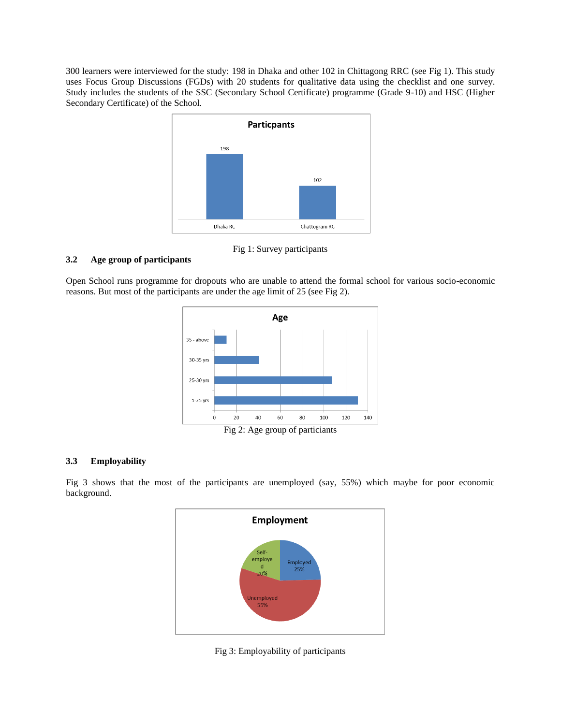300 learners were interviewed for the study: 198 in Dhaka and other 102 in Chittagong RRC (see Fig 1). This study uses Focus Group Discussions (FGDs) with 20 students for qualitative data using the checklist and one survey. Study includes the students of the SSC (Secondary School Certificate) programme (Grade 9-10) and HSC (Higher Secondary Certificate) of the School.



Fig 1: Survey participants

# **3.2 Age group of participants**

Open School runs programme for dropouts who are unable to attend the formal school for various socio-economic reasons. But most of the participants are under the age limit of 25 (see Fig 2).



Fig 2: Age group of particiants

# **3.3 Employability**

Fig 3 shows that the most of the participants are unemployed (say, 55%) which maybe for poor economic background.



Fig 3: Employability of participants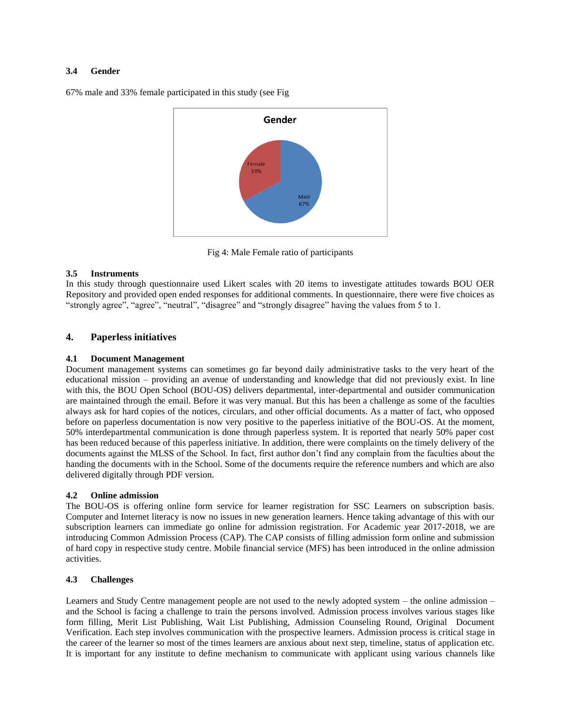#### **3.4 Gender**

67% male and 33% female participated in this study (see Fig



Fig 4: Male Female ratio of participants

#### **3.5 Instruments**

In this study through questionnaire used Likert scales with 20 items to investigate attitudes towards BOU OER Repository and provided open ended responses for additional comments. In questionnaire, there were five choices as "strongly agree", "agree", "neutral", "disagree" and "strongly disagree" having the values from 5 to 1.

# **4. Paperless initiatives**

#### **4.1 Document Management**

Document management systems can sometimes go far beyond daily administrative tasks to the very heart of the educational mission – providing an avenue of understanding and knowledge that did not previously exist. In line with this, the BOU Open School (BOU-OS) delivers departmental, inter-departmental and outsider communication are maintained through the email. Before it was very manual. But this has been a challenge as some of the faculties always ask for hard copies of the notices, circulars, and other official documents. As a matter of fact, who opposed before on paperless documentation is now very positive to the paperless initiative of the BOU-OS. At the moment, 50% interdepartmental communication is done through paperless system. It is reported that nearly 50% paper cost has been reduced because of this paperless initiative. In addition, there were complaints on the timely delivery of the documents against the MLSS of the School. In fact, first author don't find any complain from the faculties about the handing the documents with in the School. Some of the documents require the reference numbers and which are also delivered digitally through PDF version.

#### **4.2 Online admission**

The BOU-OS is offering online form service for learner registration for SSC Learners on subscription basis. Computer and Internet literacy is now no issues in new generation learners. Hence taking advantage of this with our subscription learners can immediate go online for admission registration. For Academic year 2017-2018, we are introducing Common Admission Process (CAP). The CAP consists of filling admission form online and submission of hard copy in respective study centre. Mobile financial service (MFS) has been introduced in the online admission activities.

#### **4.3 Challenges**

Learners and Study Centre management people are not used to the newly adopted system – the online admission – and the School is facing a challenge to train the persons involved. Admission process involves various stages like form filling, Merit List Publishing, Wait List Publishing, Admission Counseling Round, Original Document Verification. Each step involves communication with the prospective learners. Admission process is critical stage in the career of the learner so most of the times learners are anxious about next step, timeline, status of application etc. It is important for any institute to define mechanism to communicate with applicant using various channels like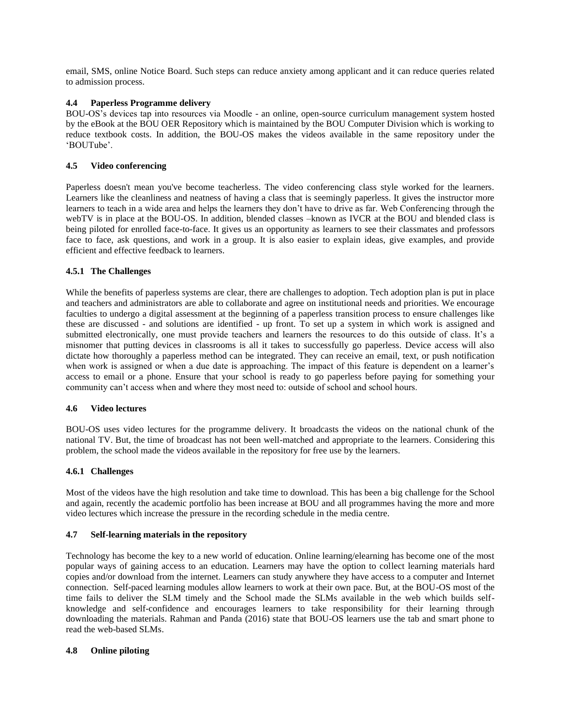email, SMS, online Notice Board. Such steps can reduce anxiety among applicant and it can reduce queries related to admission process.

# **4.4 Paperless Programme delivery**

BOU-OS's devices tap into resources via Moodle - an online, open-source curriculum management system hosted by the eBook at the BOU OER Repository which is maintained by the BOU Computer Division which is working to reduce textbook costs. In addition, the BOU-OS makes the videos available in the same repository under the 'BOUTube'.

#### **4.5 Video conferencing**

Paperless doesn't mean you've become teacherless. The video conferencing class style worked for the learners. Learners like the cleanliness and neatness of having a class that is seemingly paperless. It gives the instructor more learners to teach in a wide area and helps the learners they don't have to drive as far. Web Conferencing through the webTV is in place at the BOU-OS. In addition, blended classes –known as IVCR at the BOU and blended class is being piloted for enrolled face-to-face. It gives us an opportunity as learners to see their classmates and professors face to face, ask questions, and work in a group. It is also easier to explain ideas, give examples, and provide efficient and effective feedback to learners.

# **4.5.1 The Challenges**

While the benefits of paperless systems are clear, there are challenges to adoption. Tech adoption plan is put in place and teachers and administrators are able to collaborate and agree on institutional needs and priorities. We encourage faculties to undergo a digital assessment at the beginning of a paperless transition process to ensure challenges like these are discussed - and solutions are identified - up front. To set up a system in which work is assigned and submitted electronically, one must provide teachers and learners the resources to do this outside of class. It's a misnomer that putting devices in classrooms is all it takes to successfully go paperless. Device access will also dictate how thoroughly a paperless method can be integrated. They can receive an email, text, or push notification when work is assigned or when a due date is approaching. The impact of this feature is dependent on a learner's access to email or a phone. Ensure that your school is ready to go paperless before paying for something your community can't access when and where they most need to: outside of school and school hours.

#### **4.6 Video lectures**

BOU-OS uses video lectures for the programme delivery. It broadcasts the videos on the national chunk of the national TV. But, the time of broadcast has not been well-matched and appropriate to the learners. Considering this problem, the school made the videos available in the repository for free use by the learners.

#### **4.6.1 Challenges**

Most of the videos have the high resolution and take time to download. This has been a big challenge for the School and again, recently the academic portfolio has been increase at BOU and all programmes having the more and more video lectures which increase the pressure in the recording schedule in the media centre.

#### **4.7 Self-learning materials in the repository**

Technology has become the key to a new world of education. Online learning/elearning has become one of the most popular ways of gaining access to an education. Learners may have the option to collect learning materials hard copies and/or download from the internet. Learners can study anywhere they have access to a computer and Internet connection. Self-paced learning modules allow learners to work at their own pace. But, at the BOU-OS most of the time fails to deliver the SLM timely and the School made the SLMs available in the web which builds selfknowledge and self-confidence and encourages learners to take responsibility for their learning through downloading the materials. Rahman and Panda (2016) state that BOU-OS learners use the tab and smart phone to read the web-based SLMs.

#### **4.8 Online piloting**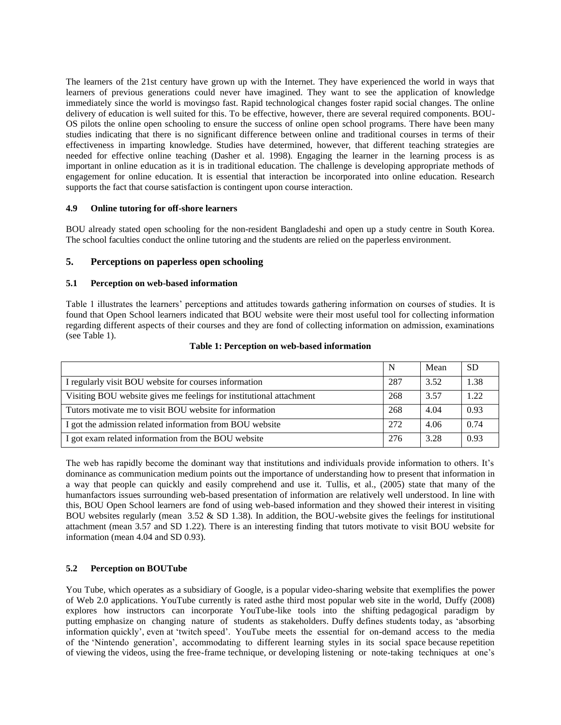The learners of the 21st century have grown up with the Internet. They have experienced the world in ways that learners of previous generations could never have imagined. They want to see the application of knowledge immediately since the world is movingso fast. Rapid technological changes foster rapid social changes. The online delivery of education is well suited for this. To be effective, however, there are several required components. BOU-OS pilots the online open schooling to ensure the success of online open school programs. There have been many studies indicating that there is no significant difference between online and traditional courses in terms of their effectiveness in imparting knowledge. Studies have determined, however, that different teaching strategies are needed for effective online teaching (Dasher et al. 1998). Engaging the learner in the learning process is as important in online education as it is in traditional education. The challenge is developing appropriate methods of engagement for online education. It is essential that interaction be incorporated into online education. Research supports the fact that course satisfaction is contingent upon course interaction.

#### **4.9 Online tutoring for off-shore learners**

BOU already stated open schooling for the non-resident Bangladeshi and open up a study centre in South Korea. The school faculties conduct the online tutoring and the students are relied on the paperless environment.

#### **5. Perceptions on paperless open schooling**

#### **5.1 Perception on web-based information**

Table 1 illustrates the learners' perceptions and attitudes towards gathering information on courses of studies. It is found that Open School learners indicated that BOU website were their most useful tool for collecting information regarding different aspects of their courses and they are fond of collecting information on admission, examinations (see Table 1).

|                                                                     | N   | Mean | <b>SD</b> |
|---------------------------------------------------------------------|-----|------|-----------|
| I regularly visit BOU website for courses information               | 287 | 3.52 | 1.38      |
| Visiting BOU website gives me feelings for institutional attachment | 268 | 3.57 | 1.22      |
| Tutors motivate me to visit BOU website for information             | 268 | 4.04 | 0.93      |
| I got the admission related information from BOU website            | 272 | 4.06 | 0.74      |
| I got exam related information from the BOU website                 | 276 | 3.28 | 0.93      |

#### **Table 1: Perception on web-based information**

The web has rapidly become the dominant way that institutions and individuals provide information to others. It's dominance as communication medium points out the importance of understanding how to present that information in a way that people can quickly and easily comprehend and use it. Tullis, et al., (2005) state that many of the humanfactors issues surrounding web-based presentation of information are relatively well understood. In line with this, BOU Open School learners are fond of using web-based information and they showed their interest in visiting BOU websites regularly (mean  $3.52 \&$  SD 1.38). In addition, the BOU-website gives the feelings for institutional attachment (mean 3.57 and SD 1.22). There is an interesting finding that tutors motivate to visit BOU website for information (mean 4.04 and SD 0.93).

#### **5.2 Perception on BOUTube**

You Tube, which operates as a subsidiary of Google, is a popular video-sharing website that exemplifies the power of Web 2.0 applications. YouTube currently is rated asthe third most popular web site in the world, Duffy (2008) explores how instructors can incorporate YouTube-like tools into the shifting pedagogical paradigm by putting emphasize on changing nature of students as stakeholders. Duffy defines students today, as 'absorbing information quickly', even at 'twitch speed'. YouTube meets the essential for on-demand access to the media of the 'Nintendo generation', accommodating to different learning styles in its social space because repetition of viewing the videos, using the free-frame technique, or developing listening or note-taking techniques at one's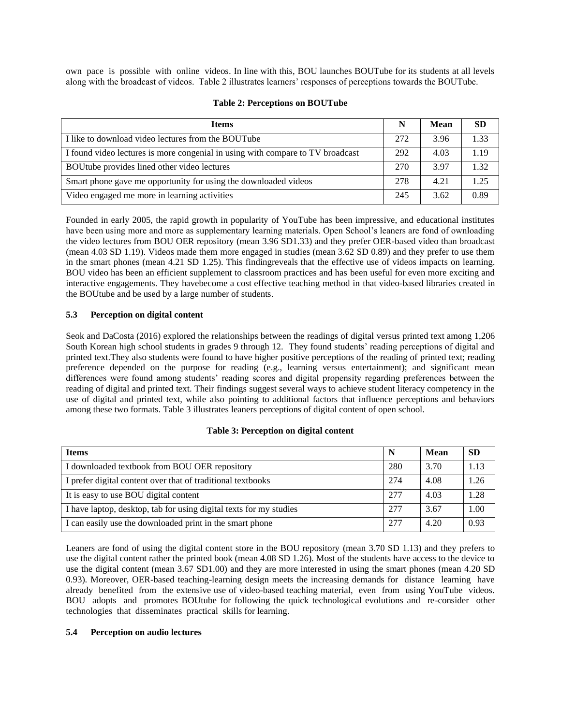own pace is possible with online videos. In line with this, BOU launches BOUTube for its students at all levels along with the broadcast of videos. Table 2 illustrates learners' responses of perceptions towards the BOUTube.

| <b>Items</b>                                                                   | N   | Mean | <b>SD</b> |
|--------------------------------------------------------------------------------|-----|------|-----------|
| I like to download video lectures from the BOUTube                             | 272 | 3.96 | 1.33      |
| I found video lectures is more congenial in using with compare to TV broadcast | 292 | 4.03 | 1.19      |
| BOUtube provides lined other video lectures                                    | 270 | 3.97 | 1.32      |
| Smart phone gave me opportunity for using the downloaded videos                | 278 | 4.21 | 1.25      |
| Video engaged me more in learning activities                                   | 245 | 3.62 | 0.89      |

#### **Table 2: Perceptions on BOUTube**

Founded in early 2005, the rapid growth in popularity of YouTube has been impressive, and educational institutes have been using more and more as supplementary learning materials. Open School's leaners are fond of ownloading the video lectures from BOU OER repository (mean 3.96 SD1.33) and they prefer OER-based video than broadcast (mean 4.03 SD 1.19). Videos made them more engaged in studies (mean 3.62 SD 0.89) and they prefer to use them in the smart phones (mean 4.21 SD 1.25). This findingreveals that the effective use of videos impacts on learning. BOU video has been an efficient supplement to classroom practices and has been useful for even more exciting and interactive engagements. They havebecome a cost effective teaching method in that video-based libraries created in the BOUtube and be used by a large number of students.

# **5.3 Perception on digital content**

Seok and DaCosta (2016) explored the relationships between the readings of digital versus printed text among 1,206 South Korean high school students in grades 9 through 12. They found students' reading perceptions of digital and printed text.They also students were found to have higher positive perceptions of the reading of printed text; reading preference depended on the purpose for reading (e.g., learning versus entertainment); and significant mean differences were found among students' reading scores and digital propensity regarding preferences between the reading of digital and printed text. Their findings suggest several ways to achieve student literacy competency in the use of digital and printed text, while also pointing to additional factors that influence perceptions and behaviors among these two formats. Table 3 illustrates leaners perceptions of digital content of open school.

| <b>Items</b>                                                       | N   | Mean | <b>SD</b> |
|--------------------------------------------------------------------|-----|------|-----------|
| I downloaded textbook from BOU OER repository                      | 280 | 3.70 | 1.13      |
| I prefer digital content over that of traditional textbooks        | 274 | 4.08 | 1.26      |
| It is easy to use BOU digital content                              | 277 | 4.03 | 1.28      |
| I have laptop, desktop, tab for using digital texts for my studies | 277 | 3.67 | 1.00      |
| I can easily use the downloaded print in the smart phone           | 277 | 4.20 | 0.93      |

#### **Table 3: Perception on digital content**

Leaners are fond of using the digital content store in the BOU repository (mean 3.70 SD 1.13) and they prefers to use the digital content rather the printed book (mean 4.08 SD 1.26). Most of the students have access to the device to use the digital content (mean 3.67 SD1.00) and they are more interested in using the smart phones (mean 4.20 SD 0.93). Moreover, OER-based teaching-learning design meets the increasing demands for distance learning have already benefited from the extensive use of video-based teaching material, even from using YouTube videos. BOU adopts and promotes BOUtube for following the quick technological evolutions and re-consider other technologies that disseminates practical skills for learning.

#### **5.4 Perception on audio lectures**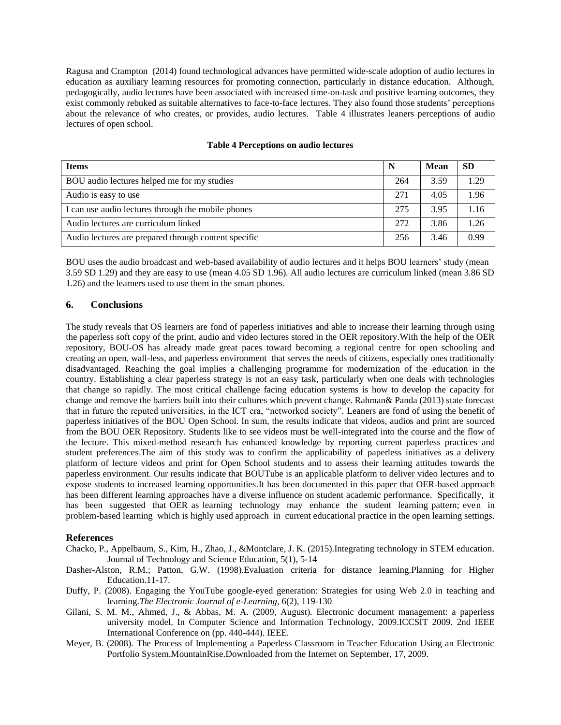Ragusa and Crampton (2014) found technological advances have permitted wide-scale adoption of audio lectures in education as auxiliary learning resources for promoting connection, particularly in distance education. Although, pedagogically, audio lectures have been associated with increased time-on-task and positive learning outcomes, they exist commonly rebuked as suitable alternatives to face-to-face lectures. They also found those students' perceptions about the relevance of who creates, or provides, audio lectures. Table 4 illustrates leaners perceptions of audio lectures of open school.

| <b>Items</b>                                         |     | <b>Mean</b> | <b>SD</b> |
|------------------------------------------------------|-----|-------------|-----------|
| BOU audio lectures helped me for my studies          | 264 | 3.59        | .29       |
| Audio is easy to use                                 | 271 | 4.05        | 1.96      |
| I can use audio lectures through the mobile phones   | 275 | 3.95        | .16       |
| Audio lectures are curriculum linked                 | 272 | 3.86        | 26        |
| Audio lectures are prepared through content specific | 256 | 3.46        | 0.99      |

#### **Table 4 Perceptions on audio lectures**

BOU uses the audio broadcast and web-based availability of audio lectures and it helps BOU learners' study (mean 3.59 SD 1.29) and they are easy to use (mean 4.05 SD 1.96). All audio lectures are curriculum linked (mean 3.86 SD 1.26) and the learners used to use them in the smart phones.

#### **6. Conclusions**

The study reveals that OS learners are fond of paperless initiatives and able to increase their learning through using the paperless soft copy of the print, audio and video lectures stored in the OER repository.With the help of the OER repository, BOU-OS has already made great paces toward becoming a regional centre for open schooling and creating an open, wall-less, and paperless environment that serves the needs of citizens, especially ones traditionally disadvantaged. Reaching the goal implies a challenging programme for modernization of the education in the country. Establishing a clear paperless strategy is not an easy task, particularly when one deals with technologies that change so rapidly. The most critical challenge facing education systems is how to develop the capacity for change and remove the barriers built into their cultures which prevent change. Rahman& Panda (2013) state forecast that in future the reputed universities, in the ICT era, "networked society". Leaners are fond of using the benefit of paperless initiatives of the BOU Open School. In sum, the results indicate that videos, audios and print are sourced from the BOU OER Repository. Students like to see videos must be well-integrated into the course and the flow of the lecture. This mixed-method research has enhanced knowledge by reporting current paperless practices and student preferences.The aim of this study was to confirm the applicability of paperless initiatives as a delivery platform of lecture videos and print for Open School students and to assess their learning attitudes towards the paperless environment. Our results indicate that BOUTube is an applicable platform to deliver video lectures and to expose students to increased learning opportunities.It has been documented in this paper that OER-based approach has been different learning approaches have a diverse influence on student academic performance. Specifically, it has been suggested that OER as learning technology may enhance the student learning pattern; even in problem-based learning which is highly used approach in current educational practice in the open learning settings.

#### **References**

- Chacko, P., Appelbaum, S., Kim, H., Zhao, J., &Montclare, J. K. (2015).Integrating technology in STEM education. Journal of Technology and Science Education, 5(1), 5-14
- Dasher-Alston, R.M.; Patton, G.W. (1998).Evaluation criteria for distance learning.Planning for Higher Education.11-17.
- Duffy, P. (2008). Engaging the YouTube google-eyed generation: Strategies for using Web 2.0 in teaching and learning.*The Electronic Journal of e-Learning*, 6(2), 119-130
- Gilani, S. M. M., Ahmed, J., & Abbas, M. A. (2009, August). Electronic document management: a paperless university model. In Computer Science and Information Technology, 2009.ICCSIT 2009. 2nd IEEE International Conference on (pp. 440-444). IEEE.
- Meyer, B. (2008). The Process of Implementing a Paperless Classroom in Teacher Education Using an Electronic Portfolio System.MountainRise.Downloaded from the Internet on September, 17, 2009.